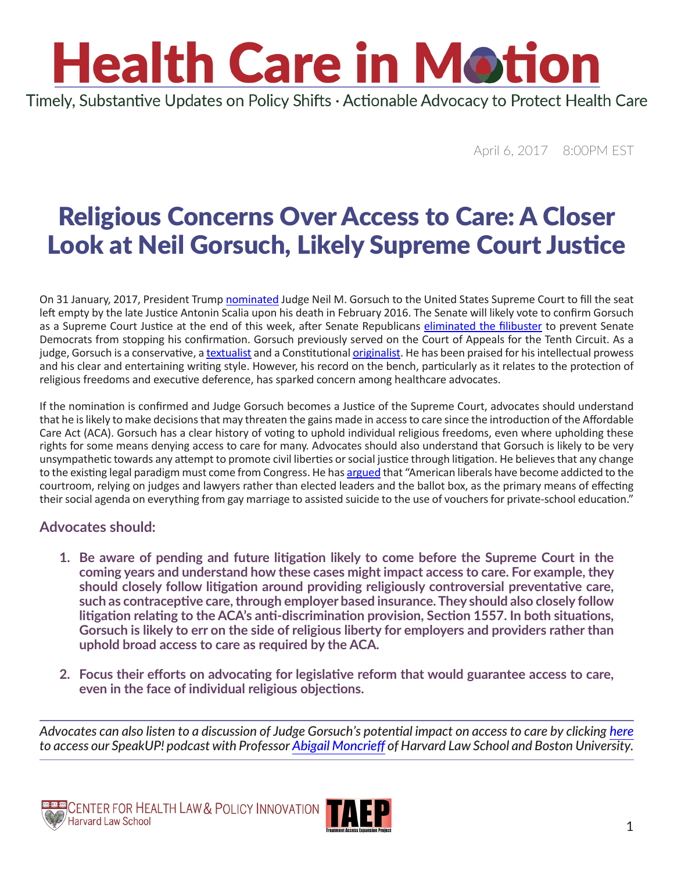Timely, Substantive Updates on Policy Shifts · Actionable Advocacy to Protect Health Care

April 6, 2017 8:00PM EST

### Religious Concerns Over Access to Care: A Closer Look at Neil Gorsuch, Likely Supreme Court Justice

On 31 January, 2017, President Trump [nominated](https://www.whitehouse.gov/the-press-office/2017/01/31/president-donald-j-trump-nominates-judge-neil-gorsuch-united-states) Judge Neil M. Gorsuch to the United States Supreme Court to fill the seat left empty by the late Justice Antonin Scalia upon his death in February 2016. The Senate will likely vote to confirm Gorsuch as a Supreme Court Justice at the end of this week, after Senate Republicans [eliminated the filibuster](https://www.nytimes.com/2017/04/06/us/politics/neil-gorsuch-supreme-court-senate.html) to prevent Senate Democrats from stopping his confirmation. Gorsuch previously served on the Court of Appeals for the Tenth Circuit. As a judge, Gorsuch is a conservative, a [textualist](https://ballotpedia.org/Textualism) and a Constitutional [originalist](http://www.npr.org/2016/02/14/466744465/originalism-a-primer-on-scalias-constitutional-philosophy). He has been praised for his intellectual prowess and his clear and entertaining writing style. However, his record on the bench, particularly as it relates to the protection of religious freedoms and executive deference, has sparked concern among healthcare advocates.

If the nomination is confirmed and Judge Gorsuch becomes a Justice of the Supreme Court, advocates should understand that he is likely to make decisions that may threaten the gains made in access to care since the introduction of the Affordable Care Act (ACA). Gorsuch has a clear history of voting to uphold individual religious freedoms, even where upholding these rights for some means denying access to care for many. Advocates should also understand that Gorsuch is likely to be very unsympathetic towards any attempt to promote civil liberties or social justice through litigation. He believes that any change to the existing legal paradigm must come from Congress. He has [argued](http://www.nationalreview.com/article/213590/liberalsnlawsuits-joseph-6) that "American liberals have become addicted to the courtroom, relying on judges and lawyers rather than elected leaders and the ballot box, as the primary means of effecting their social agenda on everything from gay marriage to assisted suicide to the use of vouchers for private-school education."

#### **Advocates should:**

- **1. Be aware of pending and future litigation likely to come before the Supreme Court in the coming years and understand how these cases might impact access to care. For example, they should closely follow litigation around providing religiously controversial preventative care, such as contraceptive care, through employer based insurance. They should also closely follow litigation relating to the ACA's anti-discrimination provision, Section 1557. In both situations, Gorsuch is likely to err on the side of religious liberty for employers and providers rather than uphold broad access to care as required by the ACA.**
- **2. Focus their efforts on advocating for legislative reform that would guarantee access to care, even in the face of individual religious objections.**

*Advocates can also listen to a discussion of Judge Gorsuch's potential impact on access to care by clicking [here](https://soundcloud.com/aidschicago-org/speakup-who-is-neil-gorsuch) to access our SpeakUP! podcast with Professor [Abigail Moncrieff](https://www.bu.edu/law/profile/abigail-r-moncrieff/) of Harvard Law School and Boston University.*



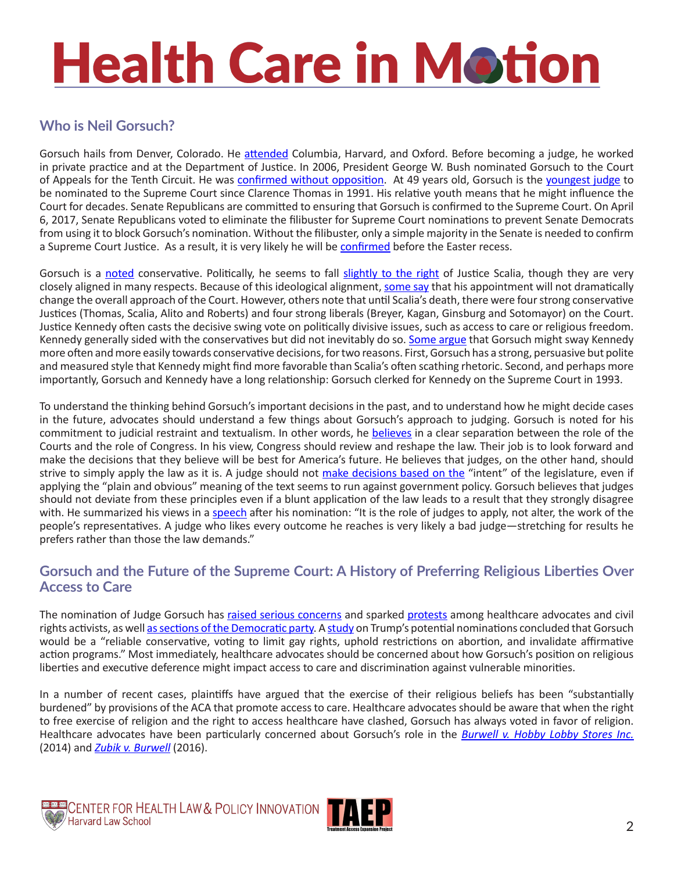### **Who is Neil Gorsuch?**

Gorsuch hails from Denver, Colorado. He [attended](http://www.ca10.uscourts.gov/judges/judge-neil-m-gorsuch) Columbia, Harvard, and Oxford. Before becoming a judge, he worked in private practice and at the Department of Justice. In 2006, President George W. Bush nominated Gorsuch to the Court of Appeals for the Tenth Circuit. He was [confirmed without opposition.](https://www.whitehouse.gov/sites/whitehouse.gov/files/docs/Gorsuch-Background.pdf) At 49 years old, Gorsuch is the [youngest judge](http://www.reuters.com/article/us-usa-court-trump-idUSKBN15F1OW) to be nominated to the Supreme Court since Clarence Thomas in 1991. His relative youth means that he might influence the Court for decades. Senate Republicans are committed to ensuring that Gorsuch is confirmed to the Supreme Court. On April 6, 2017, Senate Republicans voted to eliminate the filibuster for Supreme Court nominations to prevent Senate Democrats from using it to block Gorsuch's nomination. Without the filibuster, only a simple majority in the Senate is needed to confirm a Supreme Court Justice. As a result, it is very likely he will be [confirmed](https://www.washingtonpost.com/news/powerpost/wp/2017/04/05/a-viewers-guide-to-how-the-senate-will-confirm-neil-gorsuch-to-the-supreme-court/?utm_term=.61eed51b21cf) before the Easter recess.

Gorsuch is a [noted](http://www.reuters.com/article/us-usa-court-trump-idUSKBN15F1OW) conservative. Politically, he seems to fall [slightly to the right](https://www.nytimes.com/interactive/2017/01/31/us/politics/trump-supreme-court-nominee.html?_r=0) of Justice Scalia, though they are very closely aligned in many respects. Because of this ideological alignment, [some say](https://www.nytimes.com/interactive/2017/01/31/us/politics/trump-supreme-court-nominee.html?_r=0) that his appointment will not dramatically change the overall approach of the Court. However, others note that until Scalia's death, there were four strong conservative Justices (Thomas, Scalia, Alito and Roberts) and four strong liberals (Breyer, Kagan, Ginsburg and Sotomayor) on the Court. Justice Kennedy often casts the decisive swing vote on politically divisive issues, such as access to care or religious freedom. Kennedy generally sided with the conservatives but did not inevitably do so. [Some argue](http://www.politico.com/story/2017/01/who-is-neil-gorsuch-bio-facts-background-political-views-234437) that Gorsuch might sway Kennedy more often and more easily towards conservative decisions, for two reasons. First, Gorsuch has a strong, persuasive but polite and measured style that Kennedy might find more favorable than Scalia's often scathing rhetoric. Second, and perhaps more importantly, Gorsuch and Kennedy have a long relationship: Gorsuch clerked for Kennedy on the Supreme Court in 1993.

To understand the thinking behind Gorsuch's important decisions in the past, and to understand how he might decide cases in the future, advocates should understand a few things about Gorsuch's approach to judging. Gorsuch is noted for his commitment to judicial restraint and textualism. In other words, he [believes](http://scholarlycommons.law.case.edu/cgi/viewcontent.cgi?article=4658&context=caselrev) in a clear separation between the role of the Courts and the role of Congress. In his view, Congress should review and reshape the law. Their job is to look forward and make the decisions that they believe will be best for America's future. He believes that judges, on the other hand, should strive to simply apply the law as it is. A judge should not [make decisions based on the](https://www.courtlistener.com/opinion/621321/united-states-v-games-perez/) "intent" of the legislature, even if applying the "plain and obvious" meaning of the text seems to run against government policy. Gorsuch believes that judges should not deviate from these principles even if a blunt application of the law leads to a result that they strongly disagree with. He summarized his views in a [speech](https://www.nytimes.com/2017/01/31/us/politics/full-transcript-video-trump-neil-gorsuch-supreme-court.html?_r=0) after his nomination: "It is the role of judges to apply, not alter, the work of the people's representatives. A judge who likes every outcome he reaches is very likely a bad judge—stretching for results he prefers rather than those the law demands."

#### **Gorsuch and the Future of the Supreme Court: A History of Preferring Religious Liberties Over Access to Care**

The nomination of Judge Gorsuch has [raised serious concerns](https://www.nytimes.com/2017/01/31/opinion/neil-gorsuch-how-democrats-should-respond.html) and sparked [protests](http://www.reuters.com/video/2017/02/01/hundreds-protest-trumps-justice-pick-at?videoId=371032895&mod=related&channelName=politicsNews) among healthcare advocates and civil rights activists, as well [as sections of the Democratic party.](http://www.politico.com/story/2017/01/senate-democrats-filibuster-supreme-court-pick-234368) A [study](http://pdfserver.amlaw.com/nlj/PresNominees2.pdf) on Trump's potential nominations concluded that Gorsuch would be a "reliable conservative, voting to limit gay rights, uphold restrictions on abortion, and invalidate affirmative action programs." Most immediately, healthcare advocates should be concerned about how Gorsuch's position on religious liberties and executive deference might impact access to care and discrimination against vulnerable minorities.

In a number of recent cases, plaintiffs have argued that the exercise of their religious beliefs has been "substantially burdened" by provisions of the ACA that promote access to care. Healthcare advocates should be aware that when the right to free exercise of religion and the right to access healthcare have clashed, Gorsuch has always voted in favor of religion. Healthcare advocates have been particularly concerned about Gorsuch's role in the *[Burwell v. Hobby Lobby Stores Inc.](https://www.supremecourt.gov/opinions/13pdf/13-354_olp1.pdf)* (2014) and *[Zubik v. Burwell](https://www.supremecourt.gov/opinions/15pdf/14-1418_8758.pdf)* (2016).

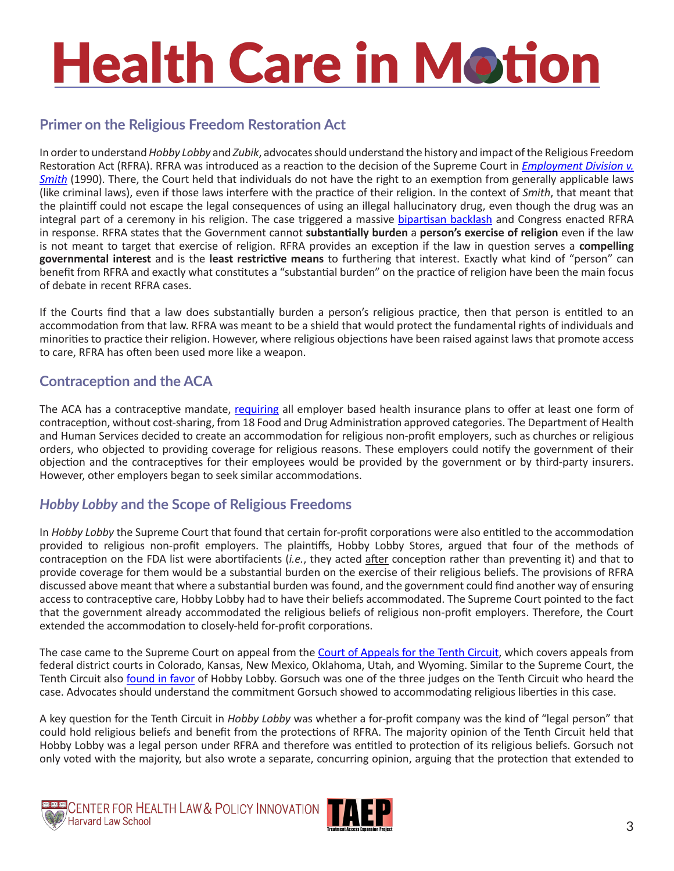#### **Primer on the Religious Freedom Restoration Act**

In order to understand *Hobby Lobby* and *Zubik*, advocates should understand the history and impact of the Religious Freedom Restoration Act (RFRA). RFRA was introduced as a reaction to the decision of the Supreme Court in *[Employment Division v.](cases/1989/88-1213)  [Smith](cases/1989/88-1213)* (1990). There, the Court held that individuals do not have the right to an exemption from generally applicable laws (like criminal laws), even if those laws interfere with the practice of their religion. In the context of *Smith*, that meant that the plaintiff could not escape the legal consequences of using an illegal hallucinatory drug, even though the drug was an integral part of a ceremony in his religion. The case triggered a massive [bipartisan backlash](https://www.aclu.org/other/aclu-and-freedom-religion-and-belief) and Congress enacted RFRA in response. RFRA states that the Government cannot **substantially burden** a **person's exercise of religion** even if the law is not meant to target that exercise of religion. RFRA provides an exception if the law in question serves a **compelling governmental interest** and is the **least restrictive means** to furthering that interest. Exactly what kind of "person" can benefit from RFRA and exactly what constitutes a "substantial burden" on the practice of religion have been the main focus of debate in recent RFRA cases.

If the Courts find that a law does substantially burden a person's religious practice, then that person is entitled to an accommodation from that law. RFRA was meant to be a shield that would protect the fundamental rights of individuals and minorities to practice their religion. However, where religious objections have been raised against laws that promote access to care, RFRA has often been used more like a weapon.

#### **Contraception and the ACA**

The ACA has a contraceptive mandate, [requiring](http://obamacarefacts.com/obamacare-birth-control/) all employer based health insurance plans to offer at least one form of contraception, without cost-sharing, from 18 Food and Drug Administration approved categories. The Department of Health and Human Services decided to create an accommodation for religious non-profit employers, such as churches or religious orders, who objected to providing coverage for religious reasons. These employers could notify the government of their objection and the contraceptives for their employees would be provided by the government or by third-party insurers. However, other employers began to seek similar accommodations.

#### *Hobby Lobby* **and the Scope of Religious Freedoms**

In *Hobby Lobby* the Supreme Court that found that certain for-profit corporations were also entitled to the accommodation provided to religious non-profit employers. The plaintiffs, Hobby Lobby Stores, argued that four of the methods of contraception on the FDA list were abortifacients (*i.e.*, they acted after conception rather than preventing it) and that to provide coverage for them would be a substantial burden on the exercise of their religious beliefs. The provisions of RFRA discussed above meant that where a substantial burden was found, and the government could find another way of ensuring access to contraceptive care, Hobby Lobby had to have their beliefs accommodated. The Supreme Court pointed to the fact that the government already accommodated the religious beliefs of religious non-profit employers. Therefore, the Court extended the accommodation to closely-held for-profit corporations.

The case came to the Supreme Court on appeal from the [Court of Appeals for the Tenth Circuit](https://www.ca10.uscourts.gov/opinions/12/12-6294.pdf), which covers appeals from federal district courts in Colorado, Kansas, New Mexico, Oklahoma, Utah, and Wyoming. Similar to the Supreme Court, the Tenth Circuit also [found in favor](https://scholar.google.com/scholar_case?case=16964735894130305098&hl=en&as_sdt=2006) of Hobby Lobby. Gorsuch was one of the three judges on the Tenth Circuit who heard the case. Advocates should understand the commitment Gorsuch showed to accommodating religious liberties in this case.

A key question for the Tenth Circuit in *Hobby Lobby* was whether a for-profit company was the kind of "legal person" that could hold religious beliefs and benefit from the protections of RFRA. The majority opinion of the Tenth Circuit held that Hobby Lobby was a legal person under RFRA and therefore was entitled to protection of its religious beliefs. Gorsuch not only voted with the majority, but also wrote a separate, concurring opinion, arguing that the protection that extended to



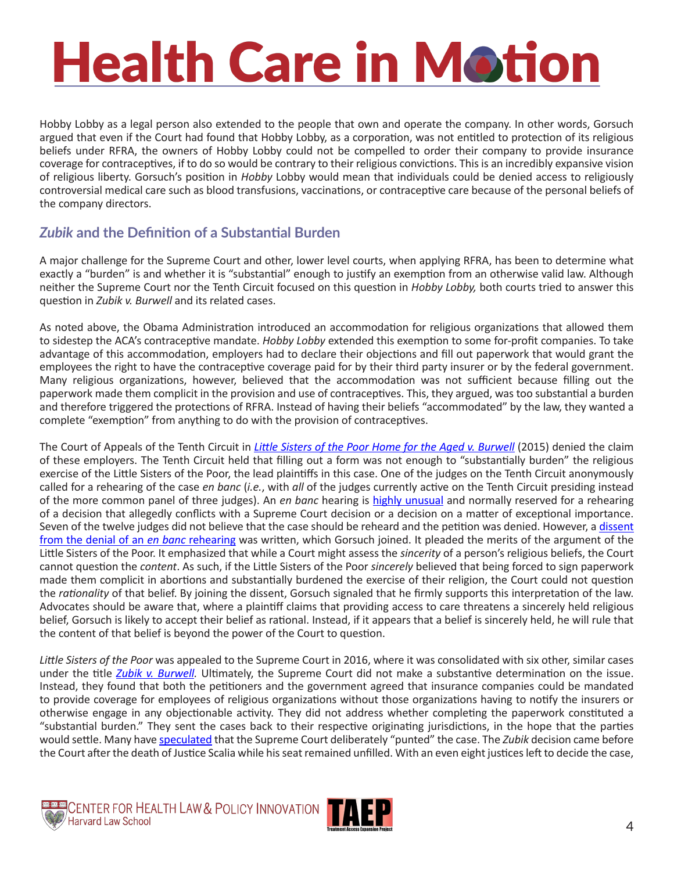Hobby Lobby as a legal person also extended to the people that own and operate the company. In other words, Gorsuch argued that even if the Court had found that Hobby Lobby, as a corporation, was not entitled to protection of its religious beliefs under RFRA, the owners of Hobby Lobby could not be compelled to order their company to provide insurance coverage for contraceptives, if to do so would be contrary to their religious convictions. This is an incredibly expansive vision of religious liberty. Gorsuch's position in *Hobby* Lobby would mean that individuals could be denied access to religiously controversial medical care such as blood transfusions, vaccinations, or contraceptive care because of the personal beliefs of the company directors.

#### *Zubik* **and the Definition of a Substantial Burden**

A major challenge for the Supreme Court and other, lower level courts, when applying RFRA, has been to determine what exactly a "burden" is and whether it is "substantial" enough to justify an exemption from an otherwise valid law. Although neither the Supreme Court nor the Tenth Circuit focused on this question in *Hobby Lobby,* both courts tried to answer this question in *Zubik v. Burwell* and its related cases.

As noted above, the Obama Administration introduced an accommodation for religious organizations that allowed them to sidestep the ACA's contraceptive mandate. *Hobby Lobby* extended this exemption to some for-profit companies. To take advantage of this accommodation, employers had to declare their objections and fill out paperwork that would grant the employees the right to have the contraceptive coverage paid for by their third party insurer or by the federal government. Many religious organizations, however, believed that the accommodation was not sufficient because filling out the paperwork made them complicit in the provision and use of contraceptives. This, they argued, was too substantial a burden and therefore triggered the protections of RFRA. Instead of having their beliefs "accommodated" by the law, they wanted a complete "exemption" from anything to do with the provision of contraceptives.

The Court of Appeals of the Tenth Circuit in *[Little Sisters of the Poor Home for the Aged v. Burwell](http://law.justia.com/cases/federal/appellate-courts/ca10/13-1540/13-1540-2015-07-14.html)* (2015) denied the claim of these employers. The Tenth Circuit held that filling out a form was not enough to "substantially burden" the religious exercise of the Little Sisters of the Poor, the lead plaintiffs in this case. One of the judges on the Tenth Circuit anonymously called for a rehearing of the case *en banc* (*i.e.*, with *all* of the judges currently active on the Tenth Circuit presiding instead of the more common panel of three judges). An *en banc* hearing is [highly unusual](https://www.ca10.uscourts.gov/sites/default/files/FRAP %26 Local Rules.pdf) and normally reserved for a rehearing of a decision that allegedly conflicts with a Supreme Court decision or a decision on a matter of exceptional importance. Seven of the twelve judges did not believe that the case should be reheard and the petition was denied. However, a dissent [from the denial of an](https://www.ca10.uscourts.gov/opinions/13/13-1540.pdf) *en banc* rehearing was written, which Gorsuch joined. It pleaded the merits of the argument of the Little Sisters of the Poor. It emphasized that while a Court might assess the *sincerity* of a person's religious beliefs, the Court cannot question the *content*. As such, if the Little Sisters of the Poor *sincerely* believed that being forced to sign paperwork made them complicit in abortions and substantially burdened the exercise of their religion, the Court could not question the *rationality* of that belief. By joining the dissent, Gorsuch signaled that he firmly supports this interpretation of the law. Advocates should be aware that, where a plaintiff claims that providing access to care threatens a sincerely held religious belief, Gorsuch is likely to accept their belief as rational. Instead, if it appears that a belief is sincerely held, he will rule that the content of that belief is beyond the power of the Court to question.

*Little Sisters of the Poor* was appealed to the Supreme Court in 2016, where it was consolidated with six other, similar cases under the title *[Zubik v. Burwell.](https://www.supremecourt.gov/opinions/15pdf/14-1418_8758.pdf)* Ultimately, the Supreme Court did not make a substantive determination on the issue. Instead, they found that both the petitioners and the government agreed that insurance companies could be mandated to provide coverage for employees of religious organizations without those organizations having to notify the insurers or otherwise engage in any objectionable activity. They did not address whether completing the paperwork constituted a "substantial burden." They sent the cases back to their respective originating jurisdictions, in the hope that the parties would settle. Many have [speculated](https://www.theatlantic.com/national/archive/2016/05/zubik-v-burwell-contraception-mandate-supreme-court/482898/) that the Supreme Court deliberately "punted" the case. The *Zubik* decision came before the Court after the death of Justice Scalia while his seat remained unfilled. With an even eight justices left to decide the case,



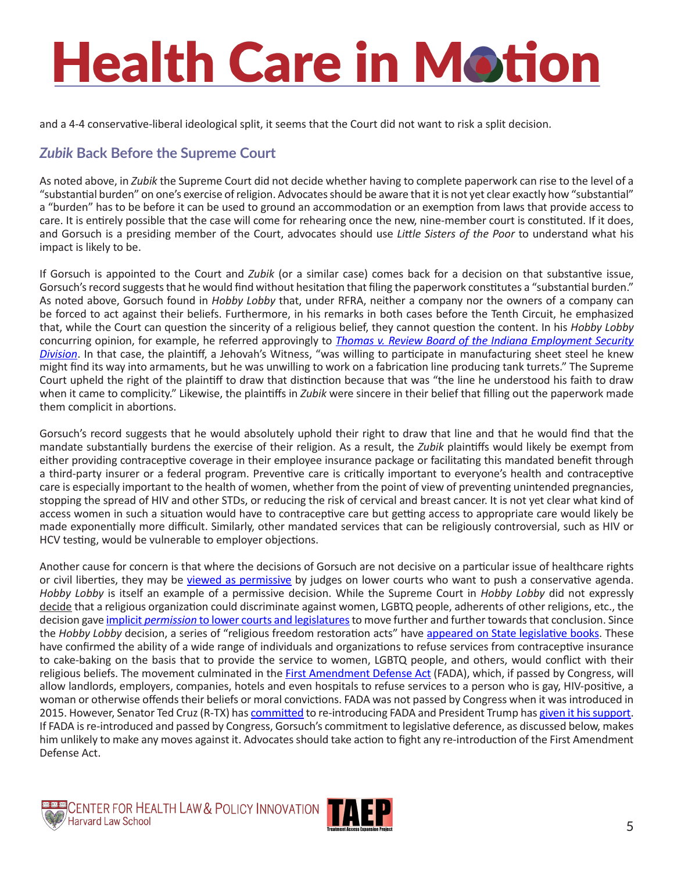and a 4-4 conservative-liberal ideological split, it seems that the Court did not want to risk a split decision.

### *Zubik* **Back Before the Supreme Court**

As noted above, in *Zubik* the Supreme Court did not decide whether having to complete paperwork can rise to the level of a "substantial burden" on one's exercise of religion. Advocates should be aware that it is not yet clear exactly how "substantial" a "burden" has to be before it can be used to ground an accommodation or an exemption from laws that provide access to care. It is entirely possible that the case will come for rehearing once the new, nine-member court is constituted. If it does, and Gorsuch is a presiding member of the Court, advocates should use *Little Sisters of the Poor* to understand what his impact is likely to be.

If Gorsuch is appointed to the Court and *Zubik* (or a similar case) comes back for a decision on that substantive issue, Gorsuch's record suggests that he would find without hesitation that filing the paperwork constitutes a "substantial burden." As noted above, Gorsuch found in *Hobby Lobby* that, under RFRA, neither a company nor the owners of a company can be forced to act against their beliefs. Furthermore, in his remarks in both cases before the Tenth Circuit, he emphasized that, while the Court can question the sincerity of a religious belief, they cannot question the content. In his *Hobby Lobby* concurring opinion, for example, he referred approvingly to *[Thomas v. Review Board of the Indiana Employment Security](https://www.oyez.org/cases/1980/79-952)  [Division](https://www.oyez.org/cases/1980/79-952)*. In that case, the plaintiff, a Jehovah's Witness, "was willing to participate in manufacturing sheet steel he knew might find its way into armaments, but he was unwilling to work on a fabrication line producing tank turrets." The Supreme Court upheld the right of the plaintiff to draw that distinction because that was "the line he understood his faith to draw when it came to complicity." Likewise, the plaintiffs in *Zubik* were sincere in their belief that filling out the paperwork made them complicit in abortions.

Gorsuch's record suggests that he would absolutely uphold their right to draw that line and that he would find that the mandate substantially burdens the exercise of their religion. As a result, the *Zubik* plaintiffs would likely be exempt from either providing contraceptive coverage in their employee insurance package or facilitating this mandated benefit through a third-party insurer or a federal program. Preventive care is critically important to everyone's health and contraceptive care is especially important to the health of women, whether from the point of view of preventing unintended pregnancies, stopping the spread of HIV and other STDs, or reducing the risk of cervical and breast cancer. It is not yet clear what kind of access women in such a situation would have to contraceptive care but getting access to appropriate care would likely be made exponentially more difficult. Similarly, other mandated services that can be religiously controversial, such as HIV or HCV testing, would be vulnerable to employer objections.

Another cause for concern is that where the decisions of Gorsuch are not decisive on a particular issue of healthcare rights or civil liberties, they may be [viewed as permissive](http://www.reuters.com/article/us-usa-court-gorsuch-deference-idUSKBN15G390?mod=related&channelName=politicsNews) by judges on lower courts who want to push a conservative agenda. *Hobby Lobby* is itself an example of a permissive decision. While the Supreme Court in *Hobby Lobby* did not expressly decide that a religious organization could discriminate against women, LGBTQ people, adherents of other religions, etc., the decision gave implicit *permission* [to lower courts and legislatures](https://www.washingtonpost.com/news/morning-mix/wp/2015/03/27/indianas-religious-freedom-bill-and-the-ghost-of-hobby-lobby/?utm_term=.6bf4d16f05af) to move further and further towards that conclusion. Since the *Hobby Lobby* decision, a series of "religious freedom restoration acts" have [appeared on State legislative books](http://www.ncsl.org/research/civil-and-criminal-justice/state-rfra-statutes.aspx). These have confirmed the ability of a wide range of individuals and organizations to refuse services from contraceptive insurance to cake-baking on the basis that to provide the service to women, LGBTQ people, and others, would conflict with their religious beliefs. The movement culminated in the [First Amendment Defense Act](https://www.congress.gov/bill/114th-congress/house-bill/2802) (FADA), which, if passed by Congress, will allow landlords, employers, companies, hotels and even hospitals to refuse services to a person who is gay, HIV-positive, a woman or otherwise offends their beliefs or moral convictions. FADA was not passed by Congress when it was introduced in 2015. However, Senator Ted Cruz (R-TX) has [committed](https://www.buzzfeed.com/dominicholden/republicans-will-re-file-religious-freedom-bill-protecting-a?utm_term=.kx7OD4DlNQ) to re-introducing FADA and President Trump has [given it his support](https://www.donaldjtrump.com/press-releases/issues-of-importance-to-catholics). If FADA is re-introduced and passed by Congress, Gorsuch's commitment to legislative deference, as discussed below, makes him unlikely to make any moves against it. Advocates should take action to fight any re-introduction of the First Amendment Defense Act.

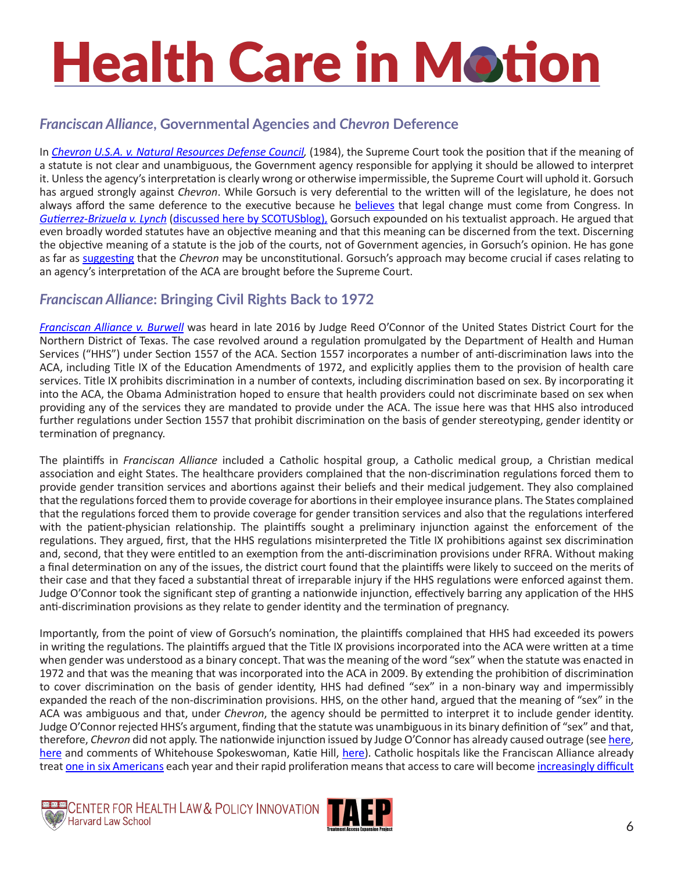### *Franciscan Alliance***, Governmental Agencies and** *Chevron* **Deference**

In *[Chevron U.S.A. v. Natural Resources Defense Council](http://caselaw.findlaw.com/us-supreme-court/467/837.html),* (1984), the Supreme Court took the position that if the meaning of a statute is not clear and unambiguous, the Government agency responsible for applying it should be allowed to interpret it. Unless the agency's interpretation is clearly wrong or otherwise impermissible, the Supreme Court will uphold it. Gorsuch has argued strongly against *Chevron*. While Gorsuch is very deferential to the written will of the legislature, he does not always afford the same deference to the executive because he **believes** that legal change must come from Congress. In *[Gutierrez-Brizuela v. Lynch](http://www.ca10.uscourts.gov/opinions/14/14-9585.pdf)* [\(discussed here by SCOTUSblog\)](http://www.scotusblog.com/2017/01/potential-nominee-profile-neil-gorsuch/), Gorsuch expounded on his textualist approach. He argued that even broadly worded statutes have an objective meaning and that this meaning can be discerned from the text. Discerning the objective meaning of a statute is the job of the courts, not of Government agencies, in Gorsuch's opinion. He has gone as far as [suggesting](http://www.reuters.com/article/us-usa-court-gorsuch-deference-idUSKBN15G390?mod=related&channelName=politicsNews) that the *Chevron* may be unconstitutional. Gorsuch's approach may become crucial if cases relating to an agency's interpretation of the ACA are brought before the Supreme Court.

### *Franciscan Alliance***: Bringing Civil Rights Back to 1972**

*[Franciscan Alliance v. Burwell](http://premiumtaxcredits.wikispaces.com/file/view/Franciscan Alliance PI order.pdf/602930830/Franciscan Alliance PI order.pdf)* was heard in late 2016 by Judge Reed O'Connor of the United States District Court for the Northern District of Texas. The case revolved around a regulation promulgated by the Department of Health and Human Services ("HHS") under Section 1557 of the ACA. Section 1557 incorporates a number of anti-discrimination laws into the ACA, including Title IX of the Education Amendments of 1972, and explicitly applies them to the provision of health care services. Title IX prohibits discrimination in a number of contexts, including discrimination based on sex. By incorporating it into the ACA, the Obama Administration hoped to ensure that health providers could not discriminate based on sex when providing any of the services they are mandated to provide under the ACA. The issue here was that HHS also introduced further regulations under Section 1557 that prohibit discrimination on the basis of gender stereotyping, gender identity or termination of pregnancy.

The plaintiffs in *Franciscan Alliance* included a Catholic hospital group, a Catholic medical group, a Christian medical association and eight States. The healthcare providers complained that the non-discrimination regulations forced them to provide gender transition services and abortions against their beliefs and their medical judgement. They also complained that the regulations forced them to provide coverage for abortions in their employee insurance plans. The States complained that the regulations forced them to provide coverage for gender transition services and also that the regulations interfered with the patient-physician relationship. The plaintiffs sought a preliminary injunction against the enforcement of the regulations. They argued, first, that the HHS regulations misinterpreted the Title IX prohibitions against sex discrimination and, second, that they were entitled to an exemption from the anti-discrimination provisions under RFRA. Without making a final determination on any of the issues, the district court found that the plaintiffs were likely to succeed on the merits of their case and that they faced a substantial threat of irreparable injury if the HHS regulations were enforced against them. Judge O'Connor took the significant step of granting a nationwide injunction, effectively barring any application of the HHS anti-discrimination provisions as they relate to gender identity and the termination of pregnancy.

Importantly, from the point of view of Gorsuch's nomination, the plaintiffs complained that HHS had exceeded its powers in writing the regulations. The plaintiffs argued that the Title IX provisions incorporated into the ACA were written at a time when gender was understood as a binary concept. That was the meaning of the word "sex" when the statute was enacted in 1972 and that was the meaning that was incorporated into the ACA in 2009. By extending the prohibition of discrimination to cover discrimination on the basis of gender identity, HHS had defined "sex" in a non-binary way and impermissibly expanded the reach of the non-discrimination provisions. HHS, on the other hand, argued that the meaning of "sex" in the ACA was ambiguous and that, under *Chevron*, the agency should be permitted to interpret it to include gender identity. Judge O'Connor rejected HHS's argument, finding that the statute was unambiguous in its binary definition of "sex" and that, therefore, *Chevron* did not apply. The nationwide injunction issued by Judge O'Connor has already caused outrage (see [here](http://www.aclu-tn.org/a-new-front-in-the-religious-rights-fight-against-transgender-people/), [here](http://www.reuters.com/article/us-usa-obamacare-idUSKBN14L0OP) and comments of Whitehouse Spokeswoman, Katie Hill, here). Catholic hospitals like the Franciscan Alliance already treat [one in six Americans](https://newrepublic.com/article/100960/catholic-church-hospital-health-care-contraception) each year and their rapid proliferation means that access to care will become [increasingly difficult](https://www.aclu.org/other/hospital-mergers-threat-reproductive-health-services)



**DEANGLE FOR HEALTH LAW & POLICY INNOVATION**<br>A Harvard Law School